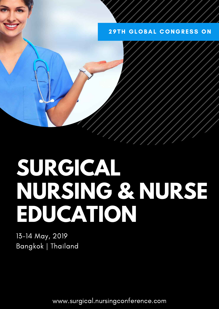## **29TH GLOBAL CONGRESS ON**

# **SURGICAL NURSING & NURSE EDUCATION**

13-14 May, 2019 Bangkok | Thailand

www.surgical.nursingconference.com